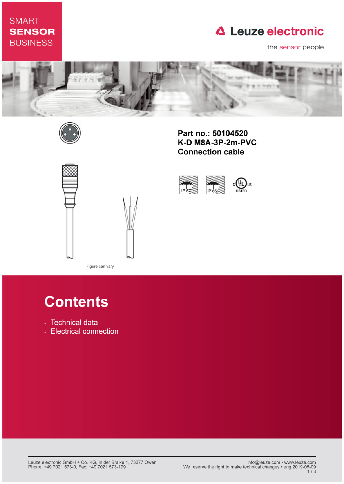# **SMART SENSOR BUSINESS**

# **△ Leuze electronic**

the sensor people



IP 67



Part no.: 50104520 K-D M8A-3P-2m-PVC **Connection cable** 

IP 65



Figure can vary

# **Contents**

- · Technical data
- Electrical connection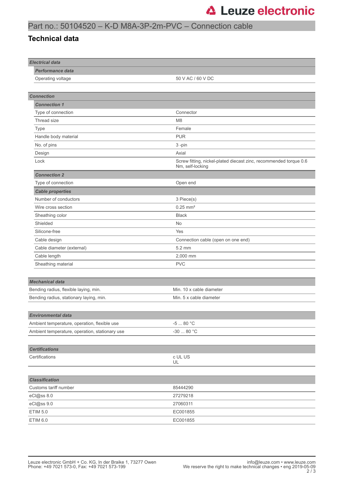## Part no.: 50104520 – K-D M8A-3P-2m-PVC – Connection cable

#### **Technical data**

| <b>Electrical data</b>                         |                                                                                       |
|------------------------------------------------|---------------------------------------------------------------------------------------|
| <b>Performance data</b>                        |                                                                                       |
| Operating voltage                              | 50 V AC / 60 V DC                                                                     |
|                                                |                                                                                       |
| <b>Connection</b>                              |                                                                                       |
| <b>Connection 1</b>                            |                                                                                       |
| Type of connection                             | Connector                                                                             |
| Thread size                                    | M <sub>8</sub>                                                                        |
| Type                                           | Female                                                                                |
| Handle body material                           | <b>PUR</b>                                                                            |
| No. of pins                                    | 3-pin                                                                                 |
| Design                                         | Axial                                                                                 |
| Lock                                           | Screw fitting, nickel-plated diecast zinc, recommended torque 0.6<br>Nm, self-locking |
| <b>Connection 2</b>                            |                                                                                       |
| Type of connection                             | Open end                                                                              |
| <b>Cable properties</b>                        |                                                                                       |
| Number of conductors                           | 3 Piece(s)                                                                            |
| Wire cross section                             | $0.25$ mm <sup>2</sup>                                                                |
| Sheathing color                                | <b>Black</b>                                                                          |
| Shielded                                       | <b>No</b>                                                                             |
| Silicone-free                                  | Yes                                                                                   |
| Cable design                                   | Connection cable (open on one end)                                                    |
| Cable diameter (external)                      | 5.2 mm                                                                                |
| Cable length                                   | 2,000 mm                                                                              |
| Sheathing material                             | <b>PVC</b>                                                                            |
|                                                |                                                                                       |
| <b>Mechanical data</b>                         |                                                                                       |
| Bending radius, flexible laying, min.          | Min. 10 x cable diameter                                                              |
| Bending radius, stationary laying, min.        | Min. 5 x cable diameter                                                               |
|                                                |                                                                                       |
| <b>Environmental data</b>                      |                                                                                       |
| Ambient temperature, operation, flexible use   | -5 $\ldots$ 80 $^{\circ}{\rm C}$                                                      |
| Ambient temperature, operation, stationary use | -30 $\ldots$ 80 $^{\circ} \mathrm{C}$                                                 |
|                                                |                                                                                       |
| <b>Certifications</b>                          |                                                                                       |
| Certifications                                 | c UL US                                                                               |
|                                                | UL                                                                                    |
|                                                |                                                                                       |
| <b>Classification</b>                          |                                                                                       |
| Customs tariff number                          | 85444290                                                                              |
| eCl@ss 8.0                                     | 27279218                                                                              |
| eCl@ss 9.0                                     | 27060311                                                                              |
| <b>ETIM 5.0</b>                                | EC001855                                                                              |
| ETIM 6.0                                       | EC001855                                                                              |